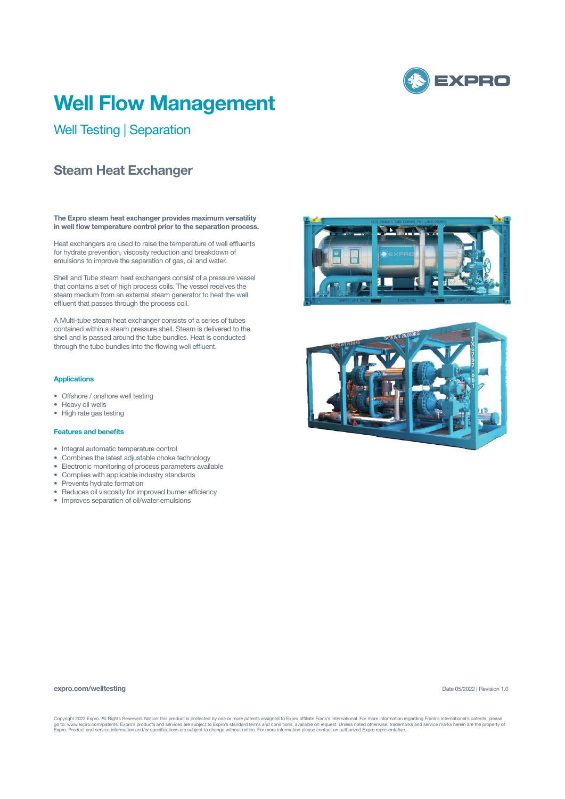

# **Well Flow Management**

Well Testing | Separation

## **Steam Heat Exchanger**

**The Expro steam heat exchanger provides maximum versatility in well flow temperature control prior to the separation process.**

Heat exchangers are used to raise the temperature of well effluents for hydrate prevention, viscosity reduction and breakdown of emulsions to improve the separation of gas, oil and water.

Shell and Tube steam heat exchangers consist of a pressure vessel that contains a set of high process coils. The vessel receives the steam medium from an external steam generator to heat the well effluent that passes through the process coil.

A Multi-tube steam heat exchanger consists of a series of tubes contained within a steam pressure shell. Steam is delivered to the shell and is passed around the tube bundles. Heat is conducted through the tube bundles into the flowing well effluent.

## **Applications**

- Offshore / onshore well testing
- Heavy oil wells
- High rate gas testing

## **Features and benefits**

- Integral automatic temperature control
- Combines the latest adjustable choke technology
- Electronic monitoring of process parameters available
- Complies with applicable industry standards
- Prevents hydrate formation
- Reduces oil viscosity for improved burner efficiency
- Improves separation of oil/water emulsions





#### **expro.com/welltesting**

Date 05/2022 | Revision 1.0

Copyright 2022 Expro. All Rights Reserved. Notice: this product is protected by one or more patents assigned to Expro affiliate Frank's International. For more information regarding Frank's International's patents, please<br>